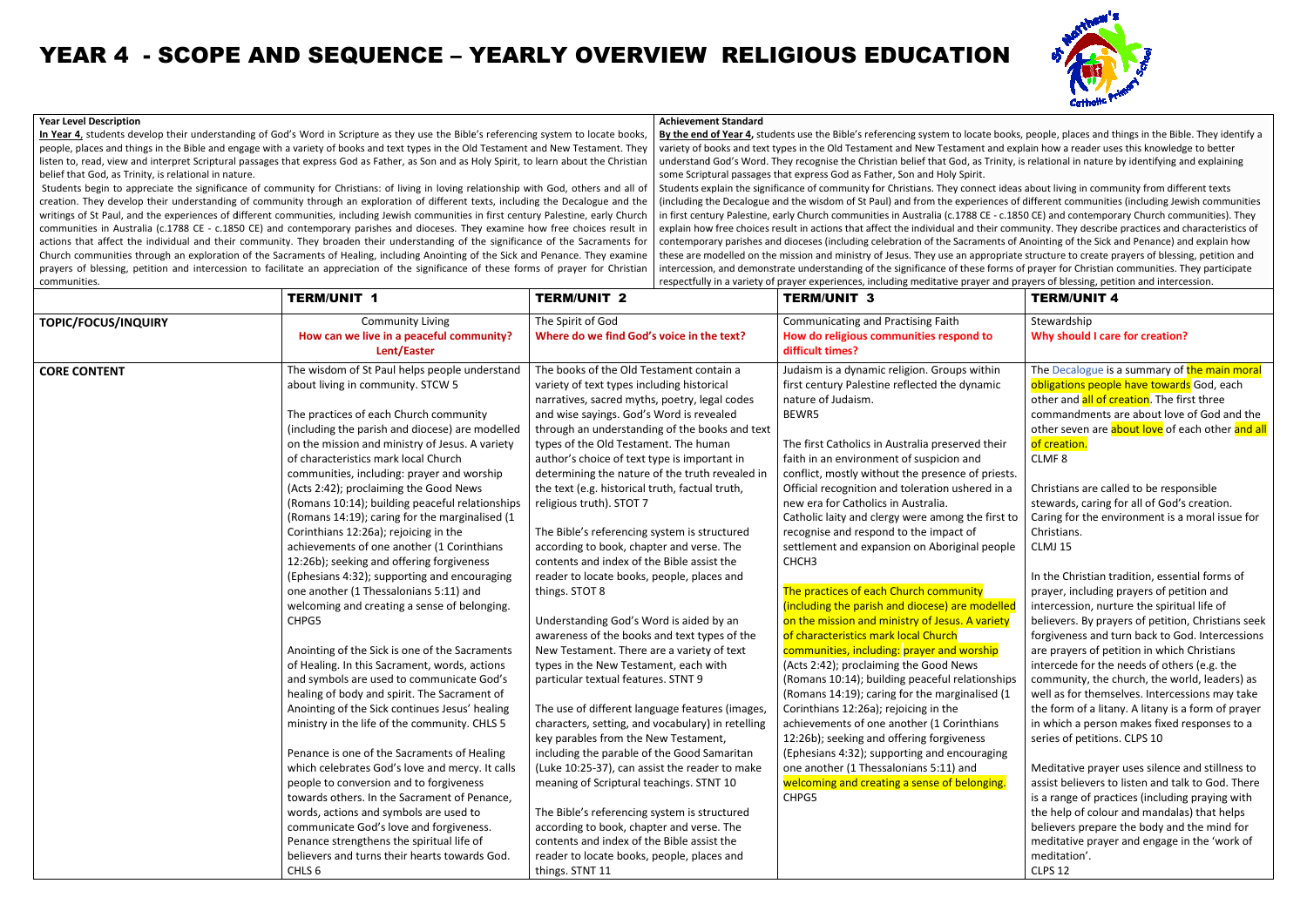#### **Year Level Description**

In Year 4, students develop their understanding of God's Word in Scripture as they use the Bible's referencing system to locate books, people, places and things in the Bible and engage with a variety of books and text types in the Old Testament and New Testament. They listen to, read, view and interpret Scriptural passages that express God as Father, as Son and as Holy Spirit, to learn about the Christian<br>belief that God, as Trinity, is relational in nature. belief that God, as Trinity, is relational in nature.

Students begin to appreciate the significance of community for Christians: of living in loving relationship with God, others and all of creation. They develop their understanding of community through an exploration of different texts, including the Decalogue and the writings of St Paul, and the experiences of different communities, including Jewish communities in first century Palestine, eearly Church communities in Australia (c.1788 CE - c.1850 CE) and contemporary parishes and dioceses. They examine how free choices result in actions that affect the individual and their community. They broaden their understanding of the significance of the Sacraments for Church communities through an exploration of the Sacraments of Healing, including Anointing of the Sick and Penance. They examine Students begin to appreciate the significance of community for Christians: of living in loving relationship with God, others and all of creation. They develop their understanding of community through an exploration of diff communities.

## YEAR 4 - SCOPE AND SEQUENCE – YEARLY OVERVIEW RELIGIOUS EDUCATION

#### **Achievement Standard**

**By the end of Year 4,** students use the Bible's referencing system to locate books, people, places and things in the Bible. They identify a variety of books and text types in the Old Testament and New Testament and explain how a reader uses this knowledge to better understand God's Word. They recognise the Christian belief that God, as Trinity, is relational in nature by identifying and explaining some Scriptural passages that express God as Father, Son and Holy Spirit. Students explain the significance of community for Christians. They connect ideas about living in community from different te (including the Decalogue and the wisdom of St Paul) and from the experiences of different communities (including Jewish communitiein first century Palestine, early Church communities in Australia (c.1788 CE - c.1850 CE) and contemporary Church communities). The in first century Palestine, early Church communities in Australia (c.1788 CE - c.1850 CE) and contemporary Church communities). They<br>explain how free choices result in actions that affect the individual and their community contemporary parishes and dioceses (including celebration of the Sacraments of Anointing of the Sick and Penance) and explain how these are modelled on the mission and ministry of Jesus. They use an appropriate structure to create prayers of blessing, petition and intercession, and demonstrate understanding of the significance of these forms of prayer for Christian communities. They participate respectfully in a variety of prayer experiences, including meditative prayer and prayers of blessing, petition and intercession. on and Holy Spirit.<br>istians. They connect ideas about living in community from different texts<br>id from the experiences of different communities (including Jewish communities<br>Australia (c.1788 CE - c.1850 CE) and contempora s Word. They recognise the Christian belief that God, as Trinity, is relational in nature by identifying and explaini<br>)assages that express God as Father, Son and Holy Spirit.<br>the significance of community for Christians. from the experiences of different communities (including Jewish communities

|                                                                                                                                                                                                                                     | <b>TERM/UNIT 4</b>                                                                                                                                                                                                                                                                                                                                                                                                                                                                                                                                                                         |
|-------------------------------------------------------------------------------------------------------------------------------------------------------------------------------------------------------------------------------------|--------------------------------------------------------------------------------------------------------------------------------------------------------------------------------------------------------------------------------------------------------------------------------------------------------------------------------------------------------------------------------------------------------------------------------------------------------------------------------------------------------------------------------------------------------------------------------------------|
| ing Faith                                                                                                                                                                                                                           | Stewardship                                                                                                                                                                                                                                                                                                                                                                                                                                                                                                                                                                                |
| ties respond to                                                                                                                                                                                                                     | <b>Why should I care for creation?</b>                                                                                                                                                                                                                                                                                                                                                                                                                                                                                                                                                     |
| n. Groups within<br>ted the dynamic                                                                                                                                                                                                 | The Decalogue is a summary of the main moral<br>obligations people have towards God, each<br>other and all of creation. The first three<br>commandments are about love of God and the<br>other seven are about love of each other and all                                                                                                                                                                                                                                                                                                                                                  |
| lia preserved their<br>uspicion and<br>presence of priests.                                                                                                                                                                         | of creation.<br>CLMF <sub>8</sub>                                                                                                                                                                                                                                                                                                                                                                                                                                                                                                                                                          |
| ration ushered in a<br>tralia.<br>re among the first to<br>e impact of<br>n Aboriginal people                                                                                                                                       | Christians are called to be responsible<br>stewards, caring for all of God's creation.<br>Caring for the environment is a moral issue for<br>Christians.<br>CLMJ 15                                                                                                                                                                                                                                                                                                                                                                                                                        |
| h community<br>ocese) are modelled<br>of Jesus. A variety<br>I Church<br>yer and worship<br><b>Good News</b><br>aceful relationships<br>the marginalised (1<br>ng in the<br>er (1 Corinthians<br>g forgiveness<br>g and encouraging | In the Christian tradition, essential forms of<br>prayer, including prayers of petition and<br>intercession, nurture the spiritual life of<br>believers. By prayers of petition, Christians seek<br>forgiveness and turn back to God. Intercessions<br>are prayers of petition in which Christians<br>intercede for the needs of others (e.g. the<br>community, the church, the world, leaders) as<br>well as for themselves. Intercessions may take<br>the form of a litany. A litany is a form of prayer<br>in which a person makes fixed responses to a<br>series of petitions. CLPS 10 |
| ns 5:11) and<br>ense of belonging.                                                                                                                                                                                                  | Meditative prayer uses silence and stillness to<br>assist believers to listen and talk to God. There<br>is a range of practices (including praying with<br>the help of colour and mandalas) that helps<br>believers prepare the body and the mind for<br>meditative prayer and engage in the 'work of<br>meditation'.<br><b>CLPS 12</b>                                                                                                                                                                                                                                                    |

|                     | <b>TERM/UNIT 1</b>                                                                                                                                                                                                                                                                                                                                                                                                                                                                                                                                                                                                                                                                                                                                                                                                                                                                                                                                                                                                                                                                                                                                                                                                                                                                                                                                                                                                                                                     | <b>TERM/UNIT 2</b>                                                                                                                                                                                                                                                                                                                                                                                                                                                                                                                                                                                                                                                                                                                                                                                                                                                                                                                                                                                                                                                                                                                                                                                                                                                                                                                                                                                            | <b>TERM/UNIT 3</b>                                                                                                                                                                                                                                                                                                                                                                                                                                                                                                                                                                                                                                                                                                                                                                                                                                                                                                                                                                                                                                                                                                                                                                                                            |  |
|---------------------|------------------------------------------------------------------------------------------------------------------------------------------------------------------------------------------------------------------------------------------------------------------------------------------------------------------------------------------------------------------------------------------------------------------------------------------------------------------------------------------------------------------------------------------------------------------------------------------------------------------------------------------------------------------------------------------------------------------------------------------------------------------------------------------------------------------------------------------------------------------------------------------------------------------------------------------------------------------------------------------------------------------------------------------------------------------------------------------------------------------------------------------------------------------------------------------------------------------------------------------------------------------------------------------------------------------------------------------------------------------------------------------------------------------------------------------------------------------------|---------------------------------------------------------------------------------------------------------------------------------------------------------------------------------------------------------------------------------------------------------------------------------------------------------------------------------------------------------------------------------------------------------------------------------------------------------------------------------------------------------------------------------------------------------------------------------------------------------------------------------------------------------------------------------------------------------------------------------------------------------------------------------------------------------------------------------------------------------------------------------------------------------------------------------------------------------------------------------------------------------------------------------------------------------------------------------------------------------------------------------------------------------------------------------------------------------------------------------------------------------------------------------------------------------------------------------------------------------------------------------------------------------------|-------------------------------------------------------------------------------------------------------------------------------------------------------------------------------------------------------------------------------------------------------------------------------------------------------------------------------------------------------------------------------------------------------------------------------------------------------------------------------------------------------------------------------------------------------------------------------------------------------------------------------------------------------------------------------------------------------------------------------------------------------------------------------------------------------------------------------------------------------------------------------------------------------------------------------------------------------------------------------------------------------------------------------------------------------------------------------------------------------------------------------------------------------------------------------------------------------------------------------|--|
| TOPIC/FOCUS/INQUIRY | <b>Community Living</b><br>How can we live in a peaceful community?<br>Lent/Easter                                                                                                                                                                                                                                                                                                                                                                                                                                                                                                                                                                                                                                                                                                                                                                                                                                                                                                                                                                                                                                                                                                                                                                                                                                                                                                                                                                                     | The Spirit of God<br>Where do we find God's voice in the text?                                                                                                                                                                                                                                                                                                                                                                                                                                                                                                                                                                                                                                                                                                                                                                                                                                                                                                                                                                                                                                                                                                                                                                                                                                                                                                                                                | Communicating and Practising Faith<br>How do religious communities respond to<br>difficult times?                                                                                                                                                                                                                                                                                                                                                                                                                                                                                                                                                                                                                                                                                                                                                                                                                                                                                                                                                                                                                                                                                                                             |  |
| <b>CORE CONTENT</b> | The wisdom of St Paul helps people understand<br>about living in community. STCW 5<br>The practices of each Church community<br>(including the parish and diocese) are modelled<br>on the mission and ministry of Jesus. A variety<br>of characteristics mark local Church<br>communities, including: prayer and worship<br>(Acts 2:42); proclaiming the Good News<br>(Romans 10:14); building peaceful relationships<br>(Romans 14:19); caring for the marginalised (1<br>Corinthians 12:26a); rejoicing in the<br>achievements of one another (1 Corinthians<br>12:26b); seeking and offering forgiveness<br>(Ephesians 4:32); supporting and encouraging<br>one another (1 Thessalonians 5:11) and<br>welcoming and creating a sense of belonging.<br>CHPG5<br>Anointing of the Sick is one of the Sacraments<br>of Healing. In this Sacrament, words, actions<br>and symbols are used to communicate God's<br>healing of body and spirit. The Sacrament of<br>Anointing of the Sick continues Jesus' healing<br>ministry in the life of the community. CHLS 5<br>Penance is one of the Sacraments of Healing<br>which celebrates God's love and mercy. It calls<br>people to conversion and to forgiveness<br>towards others. In the Sacrament of Penance,<br>words, actions and symbols are used to<br>communicate God's love and forgiveness.<br>Penance strengthens the spiritual life of<br>believers and turns their hearts towards God.<br>CHLS <sub>6</sub> | The books of the Old Testament contain a<br>variety of text types including historical<br>narratives, sacred myths, poetry, legal codes<br>and wise sayings. God's Word is revealed<br>through an understanding of the books and text<br>types of the Old Testament. The human<br>author's choice of text type is important in<br>determining the nature of the truth revealed in<br>the text (e.g. historical truth, factual truth,<br>religious truth). STOT 7<br>The Bible's referencing system is structured<br>according to book, chapter and verse. The<br>contents and index of the Bible assist the<br>reader to locate books, people, places and<br>things. STOT 8<br>Understanding God's Word is aided by an<br>awareness of the books and text types of the<br>New Testament. There are a variety of text<br>types in the New Testament, each with<br>particular textual features. STNT 9<br>The use of different language features (images,<br>characters, setting, and vocabulary) in retelling<br>key parables from the New Testament,<br>including the parable of the Good Samaritan<br>(Luke 10:25-37), can assist the reader to make<br>meaning of Scriptural teachings. STNT 10<br>The Bible's referencing system is structured<br>according to book, chapter and verse. The<br>contents and index of the Bible assist the<br>reader to locate books, people, places and<br>things. STNT 11 | Judaism is a dynamic religion. Groups within<br>first century Palestine reflected the dynamic<br>nature of Judaism.<br>BEWR5<br>The first Catholics in Australia preserved their<br>faith in an environment of suspicion and<br>conflict, mostly without the presence of priests.<br>Official recognition and toleration ushered in a<br>new era for Catholics in Australia.<br>Catholic laity and clergy were among the first to<br>recognise and respond to the impact of<br>settlement and expansion on Aboriginal people<br>CHCH <sub>3</sub><br>The practices of each Church community<br>(including the parish and diocese) are modelled<br>on the mission and ministry of Jesus. A variety<br>of characteristics mark local Church<br>communities, including: prayer and worship<br>(Acts 2:42); proclaiming the Good News<br>(Romans 10:14); building peaceful relationships<br>(Romans 14:19); caring for the marginalised (1<br>Corinthians 12:26a); rejoicing in the<br>achievements of one another (1 Corinthians<br>12:26b); seeking and offering forgiveness<br>(Ephesians 4:32); supporting and encouraging<br>one another (1 Thessalonians 5:11) and<br>welcoming and creating a sense of belonging.<br>CHPG5 |  |

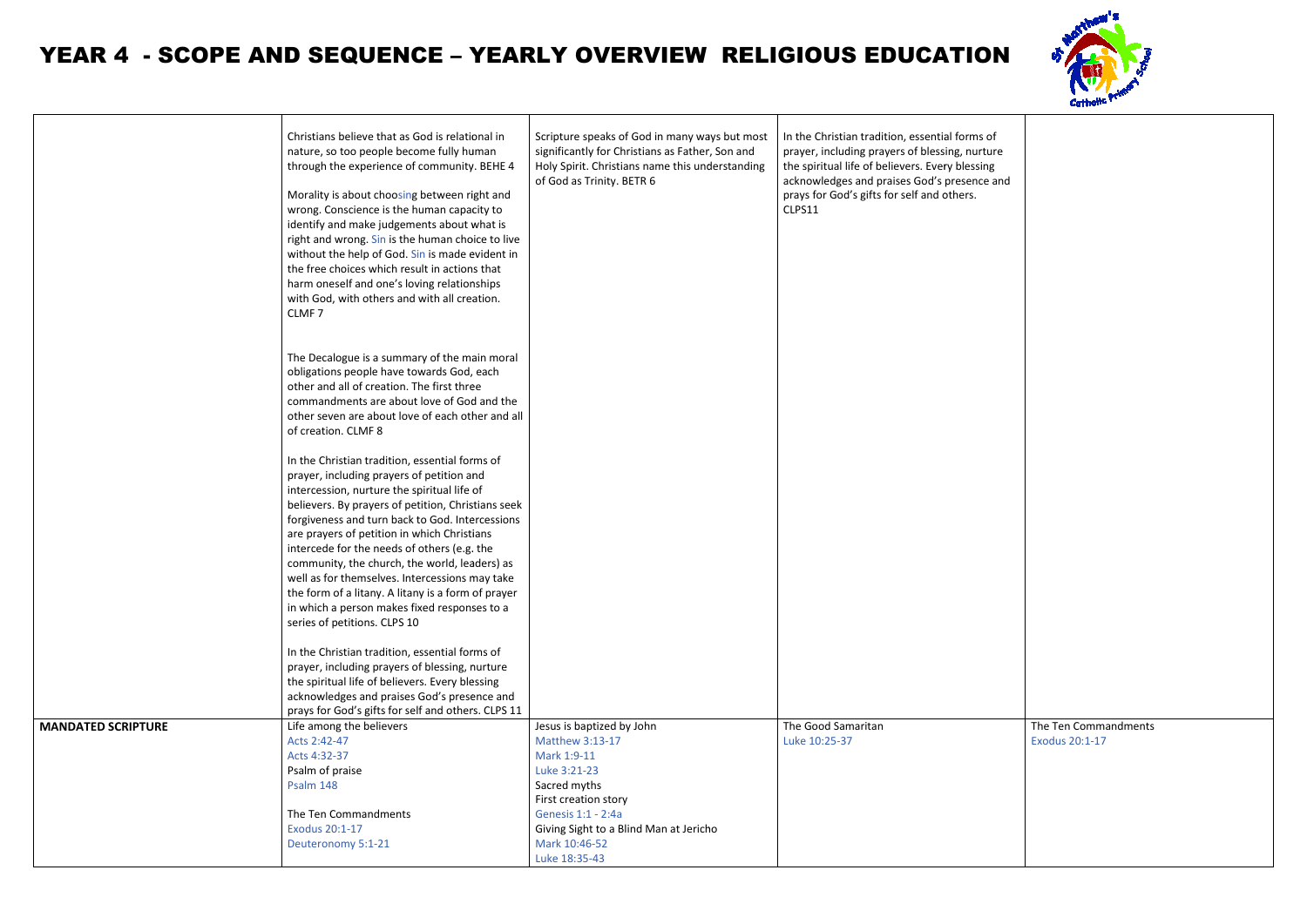### YEAR 4 - SCOPE AND SEQUENCE – YEARLY OVERVIEW RELIGIOUS EDUCATION

|                           | Christians believe that as God is relational in<br>nature, so too people become fully human<br>through the experience of community. BEHE 4<br>Morality is about choosing between right and<br>wrong. Conscience is the human capacity to<br>identify and make judgements about what is<br>right and wrong. Sin is the human choice to live<br>without the help of God. Sin is made evident in<br>the free choices which result in actions that<br>harm oneself and one's loving relationships<br>with God, with others and with all creation.<br>CLMF <sub>7</sub>                         |                                                                                                                                                                                                                       | In the Christian tradition, essential forms of<br>prayer, including prayers of blessing, nurture<br>the spiritual life of believers. Every blessing<br>acknowledges and praises God's presence and<br>prays for God's gifts for self and others.<br>CLPS11 |
|---------------------------|--------------------------------------------------------------------------------------------------------------------------------------------------------------------------------------------------------------------------------------------------------------------------------------------------------------------------------------------------------------------------------------------------------------------------------------------------------------------------------------------------------------------------------------------------------------------------------------------|-----------------------------------------------------------------------------------------------------------------------------------------------------------------------------------------------------------------------|------------------------------------------------------------------------------------------------------------------------------------------------------------------------------------------------------------------------------------------------------------|
|                           | The Decalogue is a summary of the main moral<br>obligations people have towards God, each<br>other and all of creation. The first three<br>commandments are about love of God and the<br>other seven are about love of each other and all<br>of creation. CLMF 8                                                                                                                                                                                                                                                                                                                           |                                                                                                                                                                                                                       |                                                                                                                                                                                                                                                            |
|                           | In the Christian tradition, essential forms of<br>prayer, including prayers of petition and<br>intercession, nurture the spiritual life of<br>believers. By prayers of petition, Christians seek<br>forgiveness and turn back to God. Intercessions<br>are prayers of petition in which Christians<br>intercede for the needs of others (e.g. the<br>community, the church, the world, leaders) as<br>well as for themselves. Intercessions may take<br>the form of a litany. A litany is a form of prayer<br>in which a person makes fixed responses to a<br>series of petitions. CLPS 10 |                                                                                                                                                                                                                       |                                                                                                                                                                                                                                                            |
|                           | In the Christian tradition, essential forms of<br>prayer, including prayers of blessing, nurture<br>the spiritual life of believers. Every blessing<br>acknowledges and praises God's presence and<br>prays for God's gifts for self and others. CLPS 11                                                                                                                                                                                                                                                                                                                                   |                                                                                                                                                                                                                       |                                                                                                                                                                                                                                                            |
| <b>MANDATED SCRIPTURE</b> | Life among the believers<br>Acts 2:42-47<br>Acts 4:32-37<br>Psalm of praise<br>Psalm 148<br>The Ten Commandments<br>Exodus 20:1-17<br>Deuteronomy 5:1-21                                                                                                                                                                                                                                                                                                                                                                                                                                   | Jesus is baptized by John<br>Matthew 3:13-17<br>Mark 1:9-11<br>Luke 3:21-23<br>Sacred myths<br>First creation story<br>Genesis 1:1 - 2:4a<br>Giving Sight to a Blind Man at Jericho<br>Mark 10:46-52<br>Luke 18:35-43 | The Good Samaritan<br>Luke 10:25-37                                                                                                                                                                                                                        |





| $\circ$ f<br>ure:<br>٦g<br>e and |                                               |
|----------------------------------|-----------------------------------------------|
|                                  |                                               |
|                                  |                                               |
|                                  |                                               |
|                                  |                                               |
|                                  |                                               |
|                                  |                                               |
|                                  |                                               |
|                                  | The Ten Commandments<br><b>Exodus 20:1-17</b> |
|                                  |                                               |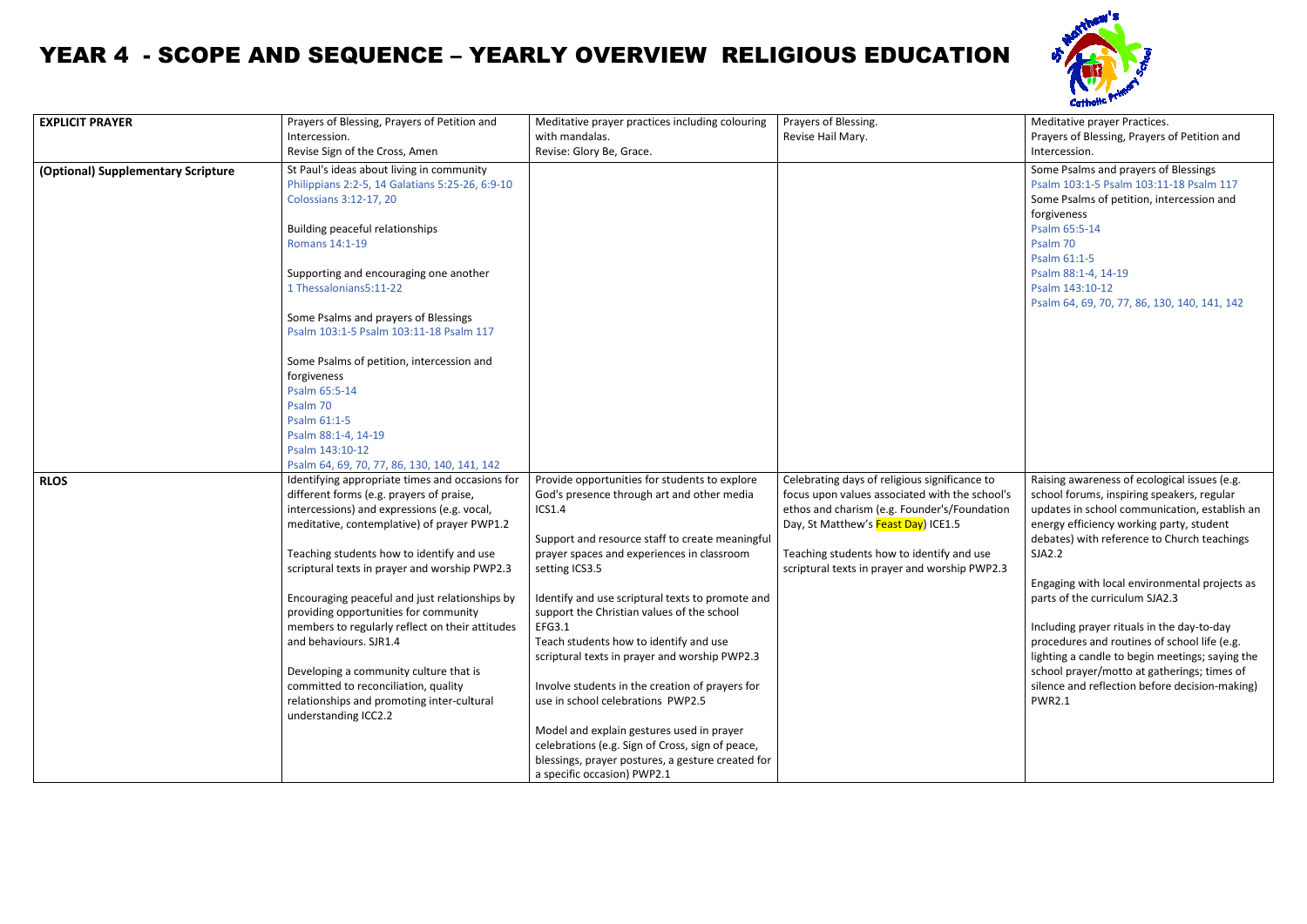## YEAR 4 - SCOPE AND SEQUENCE – YEARLY OVERVIEW RELIGIOUS EDUCATION

| <b>EXPLICIT PRAYER</b>             | Prayers of Blessing, Prayers of Petition and                                                                                                                                                                                                                                                                                                                                                                                                                                                                                                                                                                          | Meditative prayer practices including colouring                                                                                                                                                                                                                                                                                                                                                                                                                                                                                                                                                                                                                                                                                                                  | Prayers of Blessing.                                                                                                                                                                                                                                                                 | Meditative prayer Practices.                                                                                                                                                                                                                                                                                                                                                                                                                                                                                                                                                                           |
|------------------------------------|-----------------------------------------------------------------------------------------------------------------------------------------------------------------------------------------------------------------------------------------------------------------------------------------------------------------------------------------------------------------------------------------------------------------------------------------------------------------------------------------------------------------------------------------------------------------------------------------------------------------------|------------------------------------------------------------------------------------------------------------------------------------------------------------------------------------------------------------------------------------------------------------------------------------------------------------------------------------------------------------------------------------------------------------------------------------------------------------------------------------------------------------------------------------------------------------------------------------------------------------------------------------------------------------------------------------------------------------------------------------------------------------------|--------------------------------------------------------------------------------------------------------------------------------------------------------------------------------------------------------------------------------------------------------------------------------------|--------------------------------------------------------------------------------------------------------------------------------------------------------------------------------------------------------------------------------------------------------------------------------------------------------------------------------------------------------------------------------------------------------------------------------------------------------------------------------------------------------------------------------------------------------------------------------------------------------|
|                                    | Intercession.<br>Revise Sign of the Cross, Amen                                                                                                                                                                                                                                                                                                                                                                                                                                                                                                                                                                       | with mandalas.<br>Revise: Glory Be, Grace.                                                                                                                                                                                                                                                                                                                                                                                                                                                                                                                                                                                                                                                                                                                       | Revise Hail Mary.                                                                                                                                                                                                                                                                    | Prayers of Blessing, Prayers of Petition and<br>Intercession.                                                                                                                                                                                                                                                                                                                                                                                                                                                                                                                                          |
| (Optional) Supplementary Scripture | St Paul's ideas about living in community<br>Philippians 2:2-5, 14 Galatians 5:25-26, 6:9-10<br><b>Colossians 3:12-17, 20</b><br>Building peaceful relationships<br>Romans 14:1-19<br>Supporting and encouraging one another<br>1 Thessalonians5:11-22<br>Some Psalms and prayers of Blessings<br>Psalm 103:1-5 Psalm 103:11-18 Psalm 117<br>Some Psalms of petition, intercession and<br>forgiveness<br>Psalm 65:5-14<br>Psalm 70<br>Psalm 61:1-5<br>Psalm 88:1-4, 14-19<br>Psalm 143:10-12                                                                                                                          |                                                                                                                                                                                                                                                                                                                                                                                                                                                                                                                                                                                                                                                                                                                                                                  |                                                                                                                                                                                                                                                                                      | Some Psalms and prayers of Blessings<br>Psalm 103:1-5 Psalm 103:11-18 Psalm 117<br>Some Psalms of petition, intercession and<br>forgiveness<br>Psalm 65:5-14<br>Psalm 70<br>Psalm 61:1-5<br>Psalm 88:1-4, 14-19<br>Psalm 143:10-12<br>Psalm 64, 69, 70, 77, 86, 130, 140, 141, 142                                                                                                                                                                                                                                                                                                                     |
| <b>RLOS</b>                        | Psalm 64, 69, 70, 77, 86, 130, 140, 141, 142<br>Identifying appropriate times and occasions for<br>different forms (e.g. prayers of praise,<br>intercessions) and expressions (e.g. vocal,<br>meditative, contemplative) of prayer PWP1.2<br>Teaching students how to identify and use<br>scriptural texts in prayer and worship PWP2.3<br>providing opportunities for community<br>members to regularly reflect on their attitudes<br>and behaviours. SJR1.4<br>Developing a community culture that is<br>committed to reconciliation, quality<br>relationships and promoting inter-cultural<br>understanding ICC2.2 | Provide opportunities for students to explore<br>God's presence through art and other media<br>ICS1.4<br>Support and resource staff to create meaningful<br>prayer spaces and experiences in classroom<br>setting ICS3.5<br>Encouraging peaceful and just relationships by $\ $ Identify and use scriptural texts to promote and<br>support the Christian values of the school<br>EFG3.1<br>Teach students how to identify and use<br>scriptural texts in prayer and worship PWP2.3<br>Involve students in the creation of prayers for<br>use in school celebrations PWP2.5<br>Model and explain gestures used in prayer<br>celebrations (e.g. Sign of Cross, sign of peace,<br>blessings, prayer postures, a gesture created for<br>a specific occasion) PWP2.1 | Celebrating days of religious significance to<br>focus upon values associated with the school's<br>ethos and charism (e.g. Founder's/Foundation<br>Day, St Matthew's Feast Day) ICE1.5<br>Teaching students how to identify and use<br>scriptural texts in prayer and worship PWP2.3 | Raising awareness of ecological issues (e.g.<br>school forums, inspiring speakers, regular<br>updates in school communication, establish an<br>energy efficiency working party, student<br>debates) with reference to Church teachings<br>SJA2.2<br>Engaging with local environmental projects as<br>parts of the curriculum SJA2.3<br>Including prayer rituals in the day-to-day<br>procedures and routines of school life (e.g.<br>lighting a candle to begin meetings; saying the<br>school prayer/motto at gatherings; times of<br>silence and reflection before decision-making)<br><b>PWR2.1</b> |